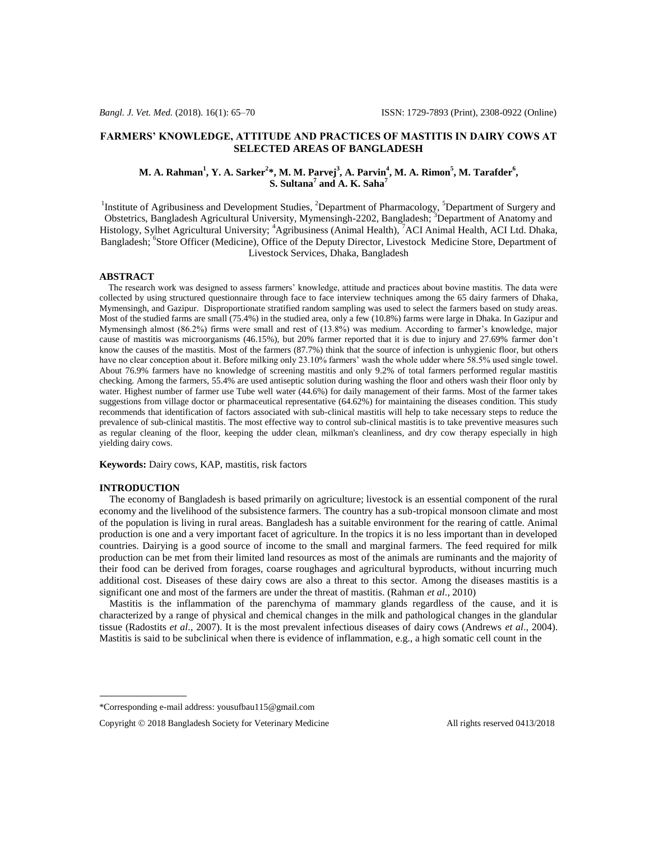# **FARMERS' KNOWLEDGE, ATTITUDE AND PRACTICES OF MASTITIS IN DAIRY COWS AT SELECTED AREAS OF BANGLADESH**

# **M. A. Rahman<sup>1</sup> , Y. A. Sarker<sup>2</sup> \*, M. M. Parvej<sup>3</sup> , A. Parvin<sup>4</sup> , M. A. Rimon<sup>5</sup> , M. Tarafder<sup>6</sup> , S. Sultana<sup>7</sup> and A. K. Saha<sup>7</sup>**

<sup>1</sup>Institute of Agribusiness and Development Studies, <sup>2</sup>Department of Pharmacology, <sup>5</sup>Department of Surgery and Obstetrics, Bangladesh Agricultural University, Mymensingh-2202, Bangladesh; <sup>3</sup>Department of Anatomy and Histology, Sylhet Agricultural University; <sup>4</sup>Agribusiness (Animal Health), <sup>7</sup>ACI Animal Health, ACI Ltd. Dhaka, Bangladesh; <sup>6</sup>Store Officer (Medicine), Office of the Deputy Director, Livestock Medicine Store, Department of Livestock Services, Dhaka, Bangladesh

## **ABSTRACT**

 The research work was designed to assess farmers' knowledge, attitude and practices about bovine mastitis. The data were collected by using structured questionnaire through face to face interview techniques among the 65 dairy farmers of Dhaka, Mymensingh, and Gazipur. Disproportionate stratified random sampling was used to select the farmers based on study areas. Most of the studied farms are small (75.4%) in the studied area, only a few (10.8%) farms were large in Dhaka. In Gazipur and Mymensingh almost (86.2%) firms were small and rest of (13.8%) was medium. According to farmer's knowledge, major cause of mastitis was microorganisms (46.15%), but 20% farmer reported that it is due to injury and 27.69% farmer don't know the causes of the mastitis. Most of the farmers (87.7%) think that the source of infection is unhygienic floor, but others have no clear conception about it. Before milking only 23.10% farmers' wash the whole udder where 58.5% used single towel. About 76.9% farmers have no knowledge of screening mastitis and only 9.2% of total farmers performed regular mastitis checking. Among the farmers, 55.4% are used antiseptic solution during washing the floor and others wash their floor only by water. Highest number of farmer use Tube well water (44.6%) for daily management of their farms. Most of the farmer takes suggestions from village doctor or pharmaceutical representative (64.62%) for maintaining the diseases condition. This study recommends that identification of factors associated with sub-clinical mastitis will help to take necessary steps to reduce the prevalence of sub-clinical mastitis. The most effective way to control sub-clinical mastitis is to take preventive measures such as regular cleaning of the floor, keeping the udder clean, milkman's cleanliness, and dry cow therapy especially in high yielding dairy cows.

**Keywords:** Dairy cows, KAP, mastitis, risk factors

# **INTRODUCTION**

 The economy of Bangladesh is based primarily on agriculture; livestock is an essential component of the rural economy and the livelihood of the subsistence farmers. The country has a sub-tropical monsoon climate and most of the population is living in rural areas. Bangladesh has a suitable environment for the rearing of cattle. Animal production is one and a very important facet of agriculture. In the tropics it is no less important than in developed countries. Dairying is a good source of income to the small and marginal farmers. The feed required for milk production can be met from their limited land resources as most of the animals are ruminants and the majority of their food can be derived from forages, coarse roughages and agricultural byproducts, without incurring much additional cost. Diseases of these dairy cows are also a threat to this sector. Among the diseases mastitis is a significant one and most of the farmers are under the threat of mastitis. (Rahman *et al*., 2010)

 Mastitis is the inflammation of the parenchyma of mammary glands regardless of the cause, and it is characterized by a range of physical and chemical changes in the milk and pathological changes in the glandular tissue (Radostits *et al*., 2007). It is the most prevalent infectious diseases of dairy cows (Andrews *et al*., 2004). Mastitis is said to be subclinical when there is evidence of inflammation, e.g., a high somatic cell count in the

Copyright  $\odot$  2018 Bangladesh Society for Veterinary Medicine All rights reserved 0413/2018

<sup>\*</sup>Corresponding e-mail address: yousufbau115@gmail.com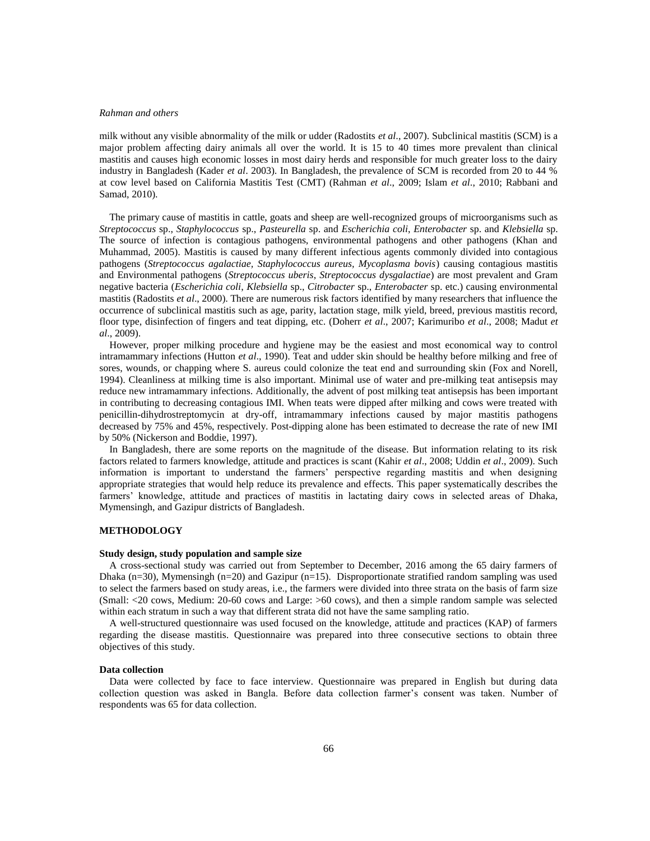## *Rahman and others*

milk without any visible abnormality of the milk or udder (Radostits *et al*., 2007). Subclinical mastitis (SCM) is a major problem affecting dairy animals all over the world. It is 15 to 40 times more prevalent than clinical mastitis and causes high economic losses in most dairy herds and responsible for much greater loss to the dairy industry in Bangladesh (Kader *et al*. 2003). In Bangladesh, the prevalence of SCM is recorded from 20 to 44 % at cow level based on California Mastitis Test (CMT) (Rahman *et al*., 2009; Islam *et al*., 2010; Rabbani and Samad, 2010).

 The primary cause of mastitis in cattle, goats and sheep are well-recognized groups of microorganisms such as *Streptococcus* sp., *Staphylococcus* sp., *Pasteurella* sp. and *Escherichia coli*, *Enterobacter* sp. and *Klebsiella* sp. The source of infection is contagious pathogens, environmental pathogens and other pathogens (Khan and Muhammad, 2005). Mastitis is caused by many different infectious agents commonly divided into contagious pathogens (*Streptococcus agalactiae, Staphylococcus aureus, Mycoplasma bovis*) causing contagious mastitis and Environmental pathogens (*Streptococcus uberis*, *Streptococcus dysgalactiae*) are most prevalent and Gram negative bacteria (*Escherichia coli*, *Klebsiella* sp., *Citrobacter* sp., *Enterobacter* sp. etc.) causing environmental mastitis (Radostits *et al*., 2000). There are numerous risk factors identified by many researchers that influence the occurrence of subclinical mastitis such as age, parity, lactation stage, milk yield, breed, previous mastitis record, floor type, disinfection of fingers and teat dipping, etc. (Doherr *et al*., 2007; Karimuribo *et al*., 2008; Madut *et al*., 2009).

 However, proper milking procedure and hygiene may be the easiest and most economical way to control intramammary infections (Hutton *et al*., 1990). Teat and udder skin should be healthy before milking and free of sores, wounds, or chapping where S. aureus could colonize the teat end and surrounding skin (Fox and Norell, 1994). Cleanliness at milking time is also important. Minimal use of water and pre-milking teat antisepsis may reduce new intramammary infections. Additionally, the advent of post milking teat antisepsis has been important in contributing to decreasing contagious IMI. When teats were dipped after milking and cows were treated with penicillin-dihydrostreptomycin at dry-off, intramammary infections caused by major mastitis pathogens decreased by 75% and 45%, respectively. Post-dipping alone has been estimated to decrease the rate of new IMI by 50% (Nickerson and Boddie, 1997).

 In Bangladesh, there are some reports on the magnitude of the disease. But information relating to its risk factors related to farmers knowledge, attitude and practices is scant (Kahir *et al*., 2008; Uddin *et al*., 2009). Such information is important to understand the farmers' perspective regarding mastitis and when designing appropriate strategies that would help reduce its prevalence and effects. This paper systematically describes the farmers' knowledge, attitude and practices of mastitis in lactating dairy cows in selected areas of Dhaka, Mymensingh, and Gazipur districts of Bangladesh.

# **METHODOLOGY**

## **Study design, study population and sample size**

 A cross-sectional study was carried out from September to December, 2016 among the 65 dairy farmers of Dhaka (n=30), Mymensingh (n=20) and Gazipur (n=15). Disproportionate stratified random sampling was used to select the farmers based on study areas, i.e., the farmers were divided into three strata on the basis of farm size (Small: <20 cows, Medium: 20-60 cows and Large: >60 cows), and then a simple random sample was selected within each stratum in such a way that different strata did not have the same sampling ratio.

 A well-structured questionnaire was used focused on the knowledge, attitude and practices (KAP) of farmers regarding the disease mastitis. Questionnaire was prepared into three consecutive sections to obtain three objectives of this study.

#### **Data collection**

 Data were collected by face to face interview. Questionnaire was prepared in English but during data collection question was asked in Bangla. Before data collection farmer's consent was taken. Number of respondents was 65 for data collection.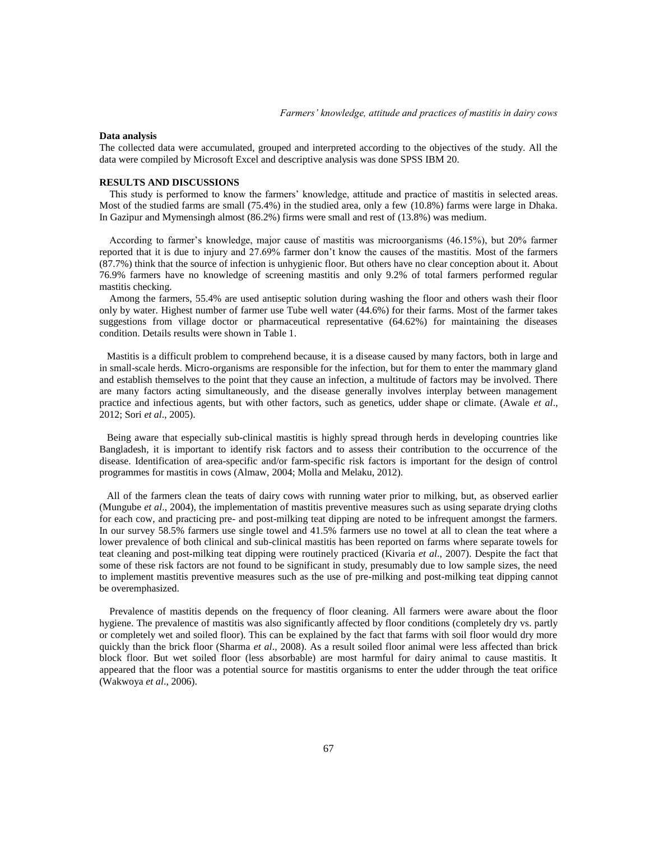# **Data analysis**

The collected data were accumulated, grouped and interpreted according to the objectives of the study. All the data were compiled by Microsoft Excel and descriptive analysis was done SPSS IBM 20.

## **RESULTS AND DISCUSSIONS**

 This study is performed to know the farmers' knowledge, attitude and practice of mastitis in selected areas. Most of the studied farms are small (75.4%) in the studied area, only a few (10.8%) farms were large in Dhaka. In Gazipur and Mymensingh almost (86.2%) firms were small and rest of (13.8%) was medium.

 According to farmer's knowledge, major cause of mastitis was microorganisms (46.15%), but 20% farmer reported that it is due to injury and 27.69% farmer don't know the causes of the mastitis. Most of the farmers (87.7%) think that the source of infection is unhygienic floor. But others have no clear conception about it. About 76.9% farmers have no knowledge of screening mastitis and only 9.2% of total farmers performed regular mastitis checking.

 Among the farmers, 55.4% are used antiseptic solution during washing the floor and others wash their floor only by water. Highest number of farmer use Tube well water (44.6%) for their farms. Most of the farmer takes suggestions from village doctor or pharmaceutical representative (64.62%) for maintaining the diseases condition. Details results were shown in Table 1.

 Mastitis is a difficult problem to comprehend because, it is a disease caused by many factors, both in large and in small-scale herds. Micro-organisms are responsible for the infection, but for them to enter the mammary gland and establish themselves to the point that they cause an infection, a multitude of factors may be involved. There are many factors acting simultaneously, and the disease generally involves interplay between management practice and infectious agents, but with other factors, such as genetics, udder shape or climate. (Awale *et al*., 2012; Sori *et al*., 2005).

 Being aware that especially sub-clinical mastitis is highly spread through herds in developing countries like Bangladesh, it is important to identify risk factors and to assess their contribution to the occurrence of the disease. Identification of area-specific and/or farm-specific risk factors is important for the design of control programmes for mastitis in cows (Almaw, 2004; Molla and Melaku, 2012).

 All of the farmers clean the teats of dairy cows with running water prior to milking, but, as observed earlier (Mungube *et al*., 2004), the implementation of mastitis preventive measures such as using separate drying cloths for each cow, and practicing pre- and post-milking teat dipping are noted to be infrequent amongst the farmers. In our survey 58.5% farmers use single towel and 41.5% farmers use no towel at all to clean the teat where a lower prevalence of both clinical and sub-clinical mastitis has been reported on farms where separate towels for teat cleaning and post-milking teat dipping were routinely practiced (Kivaria *et al*., 2007). Despite the fact that some of these risk factors are not found to be significant in study, presumably due to low sample sizes, the need to implement mastitis preventive measures such as the use of pre-milking and post-milking teat dipping cannot be overemphasized.

 Prevalence of mastitis depends on the frequency of floor cleaning. All farmers were aware about the floor hygiene. The prevalence of mastitis was also significantly affected by floor conditions (completely dry vs. partly or completely wet and soiled floor). This can be explained by the fact that farms with soil floor would dry more quickly than the brick floor (Sharma *et al*., 2008). As a result soiled floor animal were less affected than brick block floor. But wet soiled floor (less absorbable) are most harmful for dairy animal to cause mastitis. It appeared that the floor was a potential source for mastitis organisms to enter the udder through the teat orifice (Wakwoya *et al*., 2006).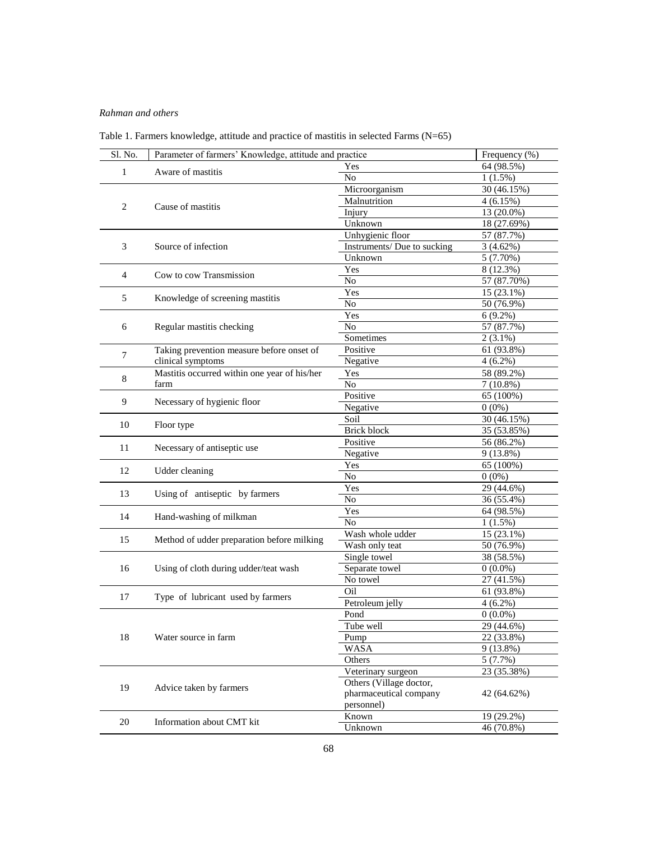# *Rahman and others*

| Sl. No.        | Parameter of farmers' Knowledge, attitude and practice |                             | Frequency (%) |
|----------------|--------------------------------------------------------|-----------------------------|---------------|
| $\mathbf{1}$   | Aware of mastitis                                      | Yes                         | 64 (98.5%)    |
|                |                                                        | No                          | $1(1.5\%)$    |
| $\overline{2}$ | Cause of mastitis                                      | Microorganism               | 30 (46.15%)   |
|                |                                                        | Malnutrition                | 4(6.15%)      |
|                |                                                        | Injury                      | 13 (20.0%)    |
|                |                                                        | Unknown                     | 18 (27.69%)   |
| 3              | Source of infection                                    | Unhygienic floor            | 57 (87.7%)    |
|                |                                                        | Instruments/ Due to sucking | 3(4.62%)      |
|                |                                                        | Unknown                     | 5 (7.70%)     |
| $\overline{4}$ | Cow to cow Transmission                                | Yes                         | 8 (12.3%)     |
|                |                                                        | No                          | 57 (87.70%)   |
| 5              | Knowledge of screening mastitis                        | Yes                         | $15(23.1\%)$  |
|                |                                                        | N <sub>o</sub>              | 50 (76.9%)    |
| 6              | Regular mastitis checking                              | Yes                         | $6(9.2\%)$    |
|                |                                                        | N <sub>o</sub>              | 57 (87.7%)    |
|                |                                                        | Sometimes                   | $2(3.1\%)$    |
| 7              | Taking prevention measure before onset of              | Positive                    | 61 (93.8%)    |
|                | clinical symptoms                                      | Negative                    | $4(6.2\%)$    |
| 8              | Mastitis occurred within one year of his/her           | Yes                         | 58 (89.2%)    |
|                | farm                                                   | N <sub>o</sub>              | $7(10.8\%)$   |
| 9              | Necessary of hygienic floor                            | Positive                    | 65 (100%)     |
|                |                                                        | Negative                    | $0(0\%)$      |
| 10             | Floor type                                             | Soil                        | 30 (46.15%)   |
|                |                                                        | Brick block                 | 35 (53.85%)   |
| 11             | Necessary of antiseptic use                            | Positive                    | 56 (86.2%)    |
|                |                                                        | Negative                    | $9(13.8\%)$   |
| 12             | Udder cleaning                                         | Yes                         | 65 (100%)     |
|                |                                                        | No                          | $0(0\%)$      |
| 13             | Using of antiseptic by farmers                         | Yes                         | 29 (44.6%)    |
|                |                                                        | No                          | 36 (55.4%)    |
| 14             | Hand-washing of milkman                                | Yes                         | 64 (98.5%)    |
|                |                                                        | N <sub>o</sub>              | 1(1.5%)       |
| 15             | Method of udder preparation before milking             | Wash whole udder            | 15 (23.1%)    |
|                |                                                        | Wash only teat              | 50 (76.9%)    |
| 16             |                                                        | Single towel                | 38 (58.5%)    |
|                | Using of cloth during udder/teat wash                  | Separate towel              | $0(0.0\%)$    |
|                |                                                        | No towel                    | 27 (41.5%)    |
|                |                                                        | Oil                         | 61 (93.8%)    |
| 17             | Type of lubricant used by farmers                      | Petroleum jelly             | $4(6.2\%)$    |
| 18             | Water source in farm                                   | Pond                        | $0(0.0\%)$    |
|                |                                                        | Tube well                   | 29 (44.6%)    |
|                |                                                        | Pump                        | 22 (33.8%)    |
|                |                                                        | <b>WASA</b>                 | $9(13.8\%)$   |
|                |                                                        | Others                      | 5(7.7%)       |
| 19             | Advice taken by farmers                                | Veterinary surgeon          | 23 (35.38%)   |
|                |                                                        | Others (Village doctor,     |               |
|                |                                                        | pharmaceutical company      | 42 (64.62%)   |
|                |                                                        | personnel)                  |               |
| 20             | Information about CMT kit                              | Known                       | 19 (29.2%)    |
|                |                                                        | Unknown                     | 46 (70.8%)    |

Table 1. Farmers knowledge, attitude and practice of mastitis in selected Farms (N=65)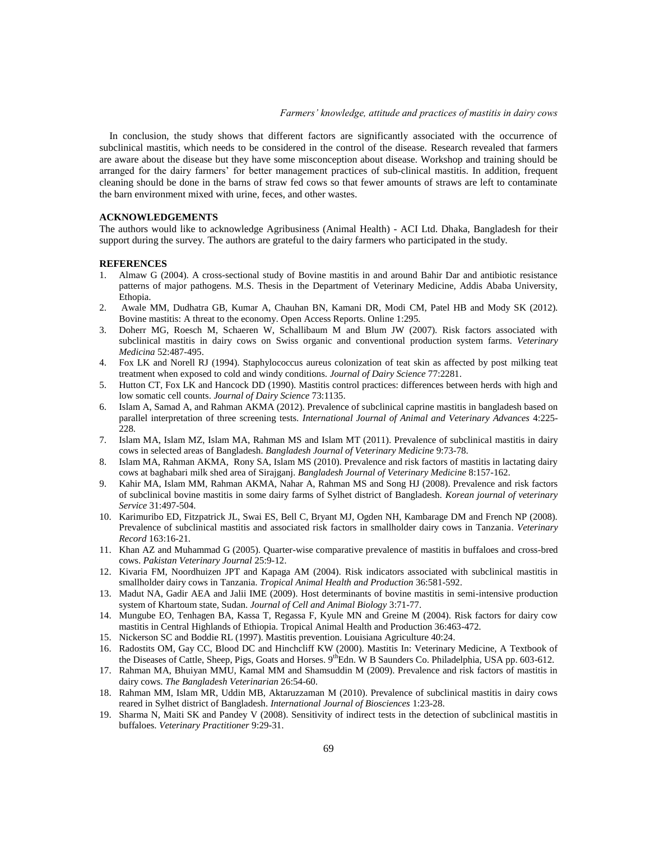In conclusion, the study shows that different factors are significantly associated with the occurrence of subclinical mastitis, which needs to be considered in the control of the disease. Research revealed that farmers are aware about the disease but they have some misconception about disease. Workshop and training should be arranged for the dairy farmers' for better management practices of sub-clinical mastitis. In addition, frequent cleaning should be done in the barns of straw fed cows so that fewer amounts of straws are left to contaminate the barn environment mixed with urine, feces, and other wastes.

# **ACKNOWLEDGEMENTS**

The authors would like to acknowledge Agribusiness (Animal Health) - ACI Ltd. Dhaka, Bangladesh for their support during the survey. The authors are grateful to the dairy farmers who participated in the study.

## **REFERENCES**

- 1. Almaw G (2004). A cross-sectional study of Bovine mastitis in and around Bahir Dar and antibiotic resistance patterns of major pathogens. M.S. Thesis in the Department of Veterinary Medicine, Addis Ababa University, Ethopia.
- 2. Awale MM, Dudhatra GB, Kumar A, Chauhan BN, Kamani DR, Modi CM, Patel HB and Mody SK (2012). Bovine mastitis: A threat to the economy. Open Access Reports. Online 1:295.
- 3. Doherr MG, Roesch M, Schaeren W, Schallibaum M and Blum JW (2007). Risk factors associated with subclinical mastitis in dairy cows on Swiss organic and conventional production system farms. *Veterinary Medicina* 52:487-495.
- 4. Fox LK and Norell RJ (1994). Staphylococcus aureus colonization of teat skin as affected by post milking teat treatment when exposed to cold and windy conditions. *Journal of Dairy Science* 77:2281.
- 5. Hutton CT, Fox LK and Hancock DD (1990). Mastitis control practices: differences between herds with high and low somatic cell counts. *Journal of Dairy Science* 73:1135.
- 6. Islam A, Samad A, and Rahman AKMA (2012). Prevalence of subclinical caprine mastitis in bangladesh based on parallel interpretation of three screening tests. *International Journal of Animal and Veterinary Advances* 4:225- 228.
- 7. Islam MA, Islam MZ, Islam MA, Rahman MS and Islam MT (2011). Prevalence of subclinical mastitis in dairy cows in selected areas of Bangladesh. *Bangladesh Journal of Veterinary Medicine* 9:73-78.
- 8. Islam MA, Rahman AKMA, Rony SA, Islam MS (2010). Prevalence and risk factors of mastitis in lactating dairy cows at baghabari milk shed area of Sirajganj. *Bangladesh Journal of Veterinary Medicine* 8:157-162.
- 9. Kahir MA, Islam MM, Rahman AKMA, Nahar A, Rahman MS and Song HJ (2008). Prevalence and risk factors of subclinical bovine mastitis in some dairy farms of Sylhet district of Bangladesh. *Korean journal of veterinary Service* 31:497-504.
- 10. Karimuribo ED, Fitzpatrick JL, Swai ES, Bell C, Bryant MJ, Ogden NH, Kambarage DM and French NP (2008). Prevalence of subclinical mastitis and associated risk factors in smallholder dairy cows in Tanzania. *Veterinary Record* 163:16-21.
- 11. Khan AZ and Muhammad G (2005). Quarter-wise comparative prevalence of mastitis in buffaloes and cross-bred cows. *Pakistan Veterinary Journal* 25:9-12.
- 12. Kivaria FM, Noordhuizen JPT and Kapaga AM (2004). Risk indicators associated with subclinical mastitis in smallholder dairy cows in Tanzania. *Tropical Animal Health and Production* 36:581-592.
- 13. Madut NA, Gadir AEA and Jalii IME (2009). Host determinants of bovine mastitis in semi-intensive production system of Khartoum state, Sudan. *Journal of Cell and Animal Biology* 3:71-77.
- 14. Mungube EO, Tenhagen BA, Kassa T, Regassa F, Kyule MN and Greine M (2004). Risk factors for dairy cow mastitis in Central Highlands of Ethiopia. Tropical Animal Health and Production 36:463-472.
- 15. Nickerson SC and Boddie RL (1997). Mastitis prevention. Louisiana Agriculture 40:24.
- 16. Radostits OM, Gay CC, Blood DC and Hinchcliff KW (2000). Mastitis In: Veterinary Medicine, A Textbook of the Diseases of Cattle, Sheep, Pigs, Goats and Horses. 9<sup>th</sup>Edn. W B Saunders Co. Philadelphia, USA pp. 603-612.
- 17. Rahman MA, Bhuiyan MMU, Kamal MM and Shamsuddin M (2009). Prevalence and risk factors of mastitis in dairy cows. *The Bangladesh Veterinarian* 26:54-60.
- 18. Rahman MM, Islam MR, Uddin MB, Aktaruzzaman M (2010). Prevalence of subclinical mastitis in dairy cows reared in Sylhet district of Bangladesh. *International Journal of Biosciences* 1:23-28.
- 19. Sharma N, Maiti SK and Pandey V (2008). Sensitivity of indirect tests in the detection of subclinical mastitis in buffaloes. *Veterinary Practitioner* 9:29-31.